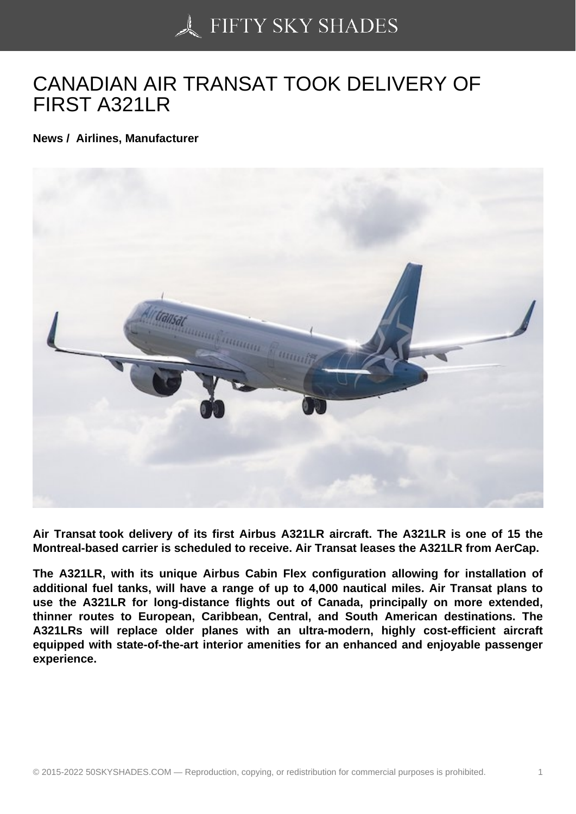## [CANADIAN AIR TRAN](https://50skyshades.com)SAT TOOK DELIVERY OF FIRST A321LR

News / Airlines, Manufacturer

Air Transat took delivery of its first Airbus A321LR aircraft. The A321LR is one of 15 the Montreal-based carrier is scheduled to receive. Air Transat leases the A321LR from AerCap.

The A321LR, with its unique Airbus Cabin Flex configuration allowing for installation of additional fuel tanks, will have a range of up to 4,000 nautical miles. Air Transat plans to use the A321LR for long-distance flights out of Canada, principally on more extended, thinner routes to European, Caribbean, Central, and South American destinations. The A321LRs will replace older planes with an ultra-modern, highly cost-efficient aircraft equipped with state-of-the-art interior amenities for an enhanced and enjoyable passenger experience.